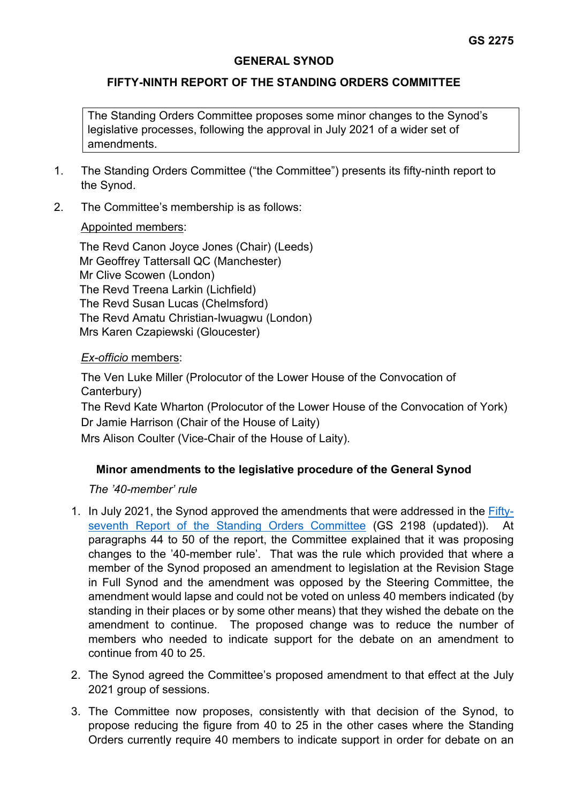## **GENERAL SYNOD**

## **FIFTY-NINTH REPORT OF THE STANDING ORDERS COMMITTEE**

The Standing Orders Committee proposes some minor changes to the Synod's legislative processes, following the approval in July 2021 of a wider set of amendments.

- 1. The Standing Orders Committee ("the Committee") presents its fifty-ninth report to the Synod.
- 2. The Committee's membership is as follows:

## Appointed members:

The Revd Canon Joyce Jones (Chair) (Leeds) Mr Geoffrey Tattersall QC (Manchester) Mr Clive Scowen (London) The Revd Treena Larkin (Lichfield) The Revd Susan Lucas (Chelmsford) The Revd Amatu Christian-Iwuagwu (London) Mrs Karen Czapiewski (Gloucester)

#### *Ex-officio* members:

The Ven Luke Miller (Prolocutor of the Lower House of the Convocation of Canterbury) The Revd Kate Wharton (Prolocutor of the Lower House of the Convocation of York)

Dr Jamie Harrison (Chair of the House of Laity)

Mrs Alison Coulter (Vice-Chair of the House of Laity).

# **Minor amendments to the legislative procedure of the General Synod**

#### *The '40-member' rule*

- 1. In July 2021, the Synod approved the amendments that were addressed in the [Fifty](https://www.churchofengland.org/sites/default/files/2021-06/GS%202198%20%28updated%29%2057th%20Report%20of%20the%20SO%20Ctte.pdf)[seventh Report of the Standing Orders Committee](https://www.churchofengland.org/sites/default/files/2021-06/GS%202198%20%28updated%29%2057th%20Report%20of%20the%20SO%20Ctte.pdf) (GS 2198 (updated)). At paragraphs 44 to 50 of the report, the Committee explained that it was proposing changes to the '40-member rule'. That was the rule which provided that where a member of the Synod proposed an amendment to legislation at the Revision Stage in Full Synod and the amendment was opposed by the Steering Committee, the amendment would lapse and could not be voted on unless 40 members indicated (by standing in their places or by some other means) that they wished the debate on the amendment to continue. The proposed change was to reduce the number of members who needed to indicate support for the debate on an amendment to continue from 40 to 25.
- 2. The Synod agreed the Committee's proposed amendment to that effect at the July 2021 group of sessions.
- 3. The Committee now proposes, consistently with that decision of the Synod, to propose reducing the figure from 40 to 25 in the other cases where the Standing Orders currently require 40 members to indicate support in order for debate on an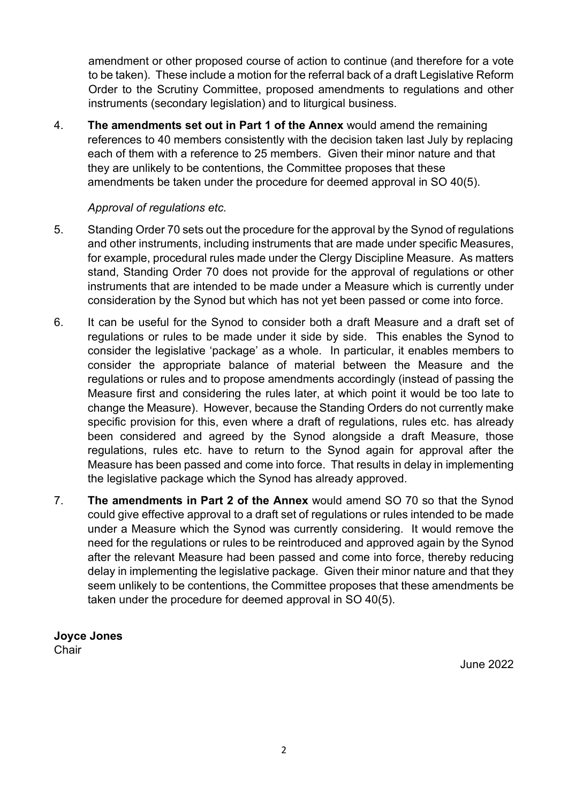amendment or other proposed course of action to continue (and therefore for a vote to be taken). These include a motion for the referral back of a draft Legislative Reform Order to the Scrutiny Committee, proposed amendments to regulations and other instruments (secondary legislation) and to liturgical business.

4. **The amendments set out in Part 1 of the Annex** would amend the remaining references to 40 members consistently with the decision taken last July by replacing each of them with a reference to 25 members. Given their minor nature and that they are unlikely to be contentions, the Committee proposes that these amendments be taken under the procedure for deemed approval in SO 40(5).

## *Approval of regulations etc.*

- 5. Standing Order 70 sets out the procedure for the approval by the Synod of regulations and other instruments, including instruments that are made under specific Measures, for example, procedural rules made under the Clergy Discipline Measure. As matters stand, Standing Order 70 does not provide for the approval of regulations or other instruments that are intended to be made under a Measure which is currently under consideration by the Synod but which has not yet been passed or come into force.
- 6. It can be useful for the Synod to consider both a draft Measure and a draft set of regulations or rules to be made under it side by side. This enables the Synod to consider the legislative 'package' as a whole. In particular, it enables members to consider the appropriate balance of material between the Measure and the regulations or rules and to propose amendments accordingly (instead of passing the Measure first and considering the rules later, at which point it would be too late to change the Measure). However, because the Standing Orders do not currently make specific provision for this, even where a draft of regulations, rules etc. has already been considered and agreed by the Synod alongside a draft Measure, those regulations, rules etc. have to return to the Synod again for approval after the Measure has been passed and come into force. That results in delay in implementing the legislative package which the Synod has already approved.
- 7. **The amendments in Part 2 of the Annex** would amend SO 70 so that the Synod could give effective approval to a draft set of regulations or rules intended to be made under a Measure which the Synod was currently considering. It would remove the need for the regulations or rules to be reintroduced and approved again by the Synod after the relevant Measure had been passed and come into force, thereby reducing delay in implementing the legislative package. Given their minor nature and that they seem unlikely to be contentions, the Committee proposes that these amendments be taken under the procedure for deemed approval in SO 40(5).

**Joyce Jones Chair** 

June 2022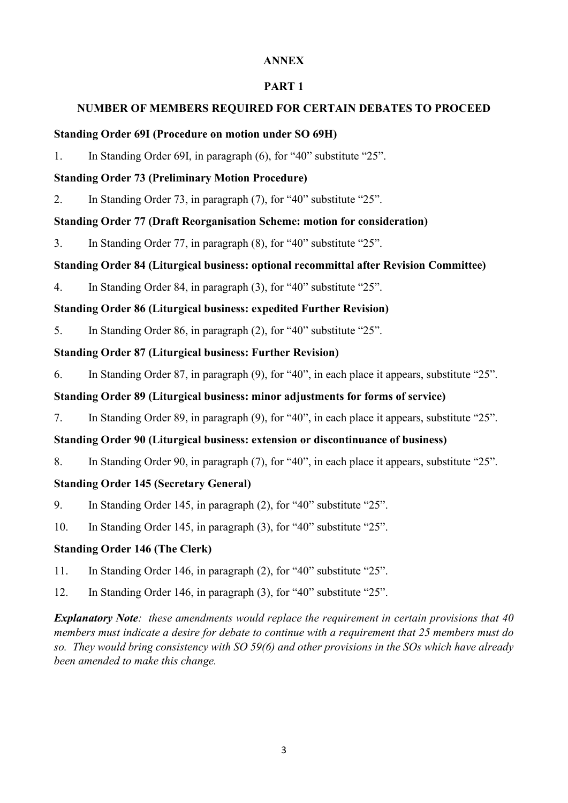## **ANNEX**

### **PART 1**

### **NUMBER OF MEMBERS REQUIRED FOR CERTAIN DEBATES TO PROCEED**

#### **Standing Order 69I (Procedure on motion under SO 69H)**

1. In Standing Order 69I, in paragraph (6), for "40" substitute "25".

### **Standing Order 73 (Preliminary Motion Procedure)**

2. In Standing Order 73, in paragraph (7), for "40" substitute "25".

## **Standing Order 77 (Draft Reorganisation Scheme: motion for consideration)**

3. In Standing Order 77, in paragraph (8), for "40" substitute "25".

# **Standing Order 84 (Liturgical business: optional recommittal after Revision Committee)**

4. In Standing Order 84, in paragraph (3), for "40" substitute "25".

# **Standing Order 86 (Liturgical business: expedited Further Revision)**

5. In Standing Order 86, in paragraph (2), for "40" substitute "25".

# **Standing Order 87 (Liturgical business: Further Revision)**

6. In Standing Order 87, in paragraph (9), for "40", in each place it appears, substitute "25".

## **Standing Order 89 (Liturgical business: minor adjustments for forms of service)**

7. In Standing Order 89, in paragraph (9), for "40", in each place it appears, substitute "25".

# **Standing Order 90 (Liturgical business: extension or discontinuance of business)**

8. In Standing Order 90, in paragraph (7), for "40", in each place it appears, substitute "25".

# **Standing Order 145 (Secretary General)**

- 9. In Standing Order 145, in paragraph (2), for "40" substitute "25".
- 10. In Standing Order 145, in paragraph (3), for "40" substitute "25".

# **Standing Order 146 (The Clerk)**

- 11. In Standing Order 146, in paragraph (2), for "40" substitute "25".
- 12. In Standing Order 146, in paragraph (3), for "40" substitute "25".

*Explanatory Note: these amendments would replace the requirement in certain provisions that 40 members must indicate a desire for debate to continue with a requirement that 25 members must do so. They would bring consistency with SO 59(6) and other provisions in the SOs which have already been amended to make this change.*